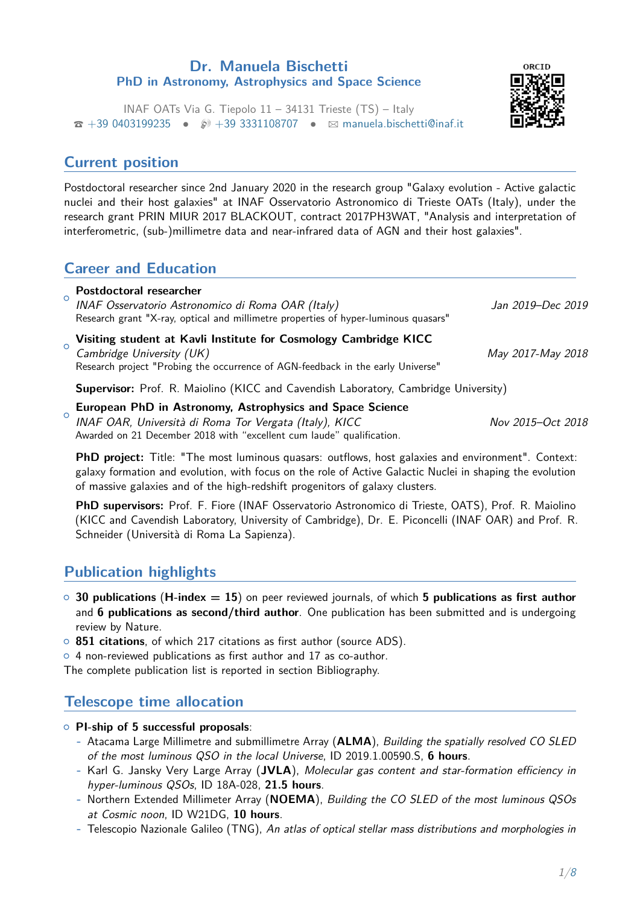#### **Dr. Manuela Bischetti PhD in Astronomy, Astrophysics and Space Science**



INAF OATs Via G. Tiepolo 11 – 34131 Trieste (TS) – Italy  $\hat{\mathbf{z}}$  [+39 0403199235](tel:+390403199235) •  $\hat{\mathcal{D}}$  [+39 3331108707](tel:+393331108707) •  $\boxtimes$  [manuela.bischetti@inaf.it](mailto:manuela.bischetti@inaf.it)

### **Current position**

Postdoctoral researcher since 2nd January 2020 in the research group "Galaxy evolution - Active galactic nuclei and their host galaxies" at INAF Osservatorio Astronomico di Trieste OATs (Italy), under the research grant PRIN MIUR 2017 BLACKOUT, contract 2017PH3WAT, "Analysis and interpretation of interferometric, (sub-)millimetre data and near-infrared data of AGN and their host galaxies".

## **Career and Education**

| $\circ$        | <b>Postdoctoral researcher</b><br>INAF Osservatorio Astronomico di Roma OAR (Italy)<br>Research grant "X-ray, optical and millimetre properties of hyper-luminous quasars"       | Jan 2019–Dec 2019 |
|----------------|----------------------------------------------------------------------------------------------------------------------------------------------------------------------------------|-------------------|
| $\overline{O}$ | Visiting student at Kavli Institute for Cosmology Cambridge KICC<br>Cambridge University (UK)<br>Research project "Probing the occurrence of AGN-feedback in the early Universe" | May 2017-May 2018 |
|                | <b>Supervisor:</b> Prof. R. Maiolino (KICC and Cavendish Laboratory, Cambridge University)                                                                                       |                   |
| ∩              | European PhD in Astronomy, Astrophysics and Space Science INAF OAR, Università di Roma Tor Vergata (Italy), KICC                                                                 | Nov 2015-Oct 2018 |

**PhD project:** Title: "The most luminous quasars: outflows, host galaxies and environment". Context: galaxy formation and evolution, with focus on the role of Active Galactic Nuclei in shaping the evolution of massive galaxies and of the high-redshift progenitors of galaxy clusters.

**PhD supervisors:** Prof. F. Fiore (INAF Osservatorio Astronomico di Trieste, OATS), Prof. R. Maiolino (KICC and Cavendish Laboratory, University of Cambridge), Dr. E. Piconcelli (INAF OAR) and Prof. R. Schneider (Università di Roma La Sapienza).

# **Publication highlights**

- { **30 publications** (**H-index = 15**) on peer reviewed journals, of which **5 publications as first author** and **6 publications as second/third author**. One publication has been submitted and is undergoing review by Nature.
- { **851 citations**, of which 217 citations as first author (source ADS).

Awarded on 21 December 2018 with "excellent cum laude" qualification.

 $\circ$  4 non-reviewed publications as first author and 17 as co-author.

The complete publication list is reported in section Bibliography.

# **Telescope time allocation**

{ **PI-ship of 5 successful proposals**:

- **-** Atacama Large Millimetre and submillimetre Array (**ALMA**), Building the spatially resolved CO SLED of the most luminous QSO in the local Universe, ID 2019.1.00590.S, **6 hours**.
- **-** Karl G. Jansky Very Large Array (**JVLA**), Molecular gas content and star-formation efficiency in hyper-luminous QSOs, ID 18A-028, **21.5 hours**.
- **-** Northern Extended Millimeter Array (**NOEMA**), Building the CO SLED of the most luminous QSOs at Cosmic noon, ID W21DG, **10 hours**.
- **-** Telescopio Nazionale Galileo (TNG), An atlas of optical stellar mass distributions and morphologies in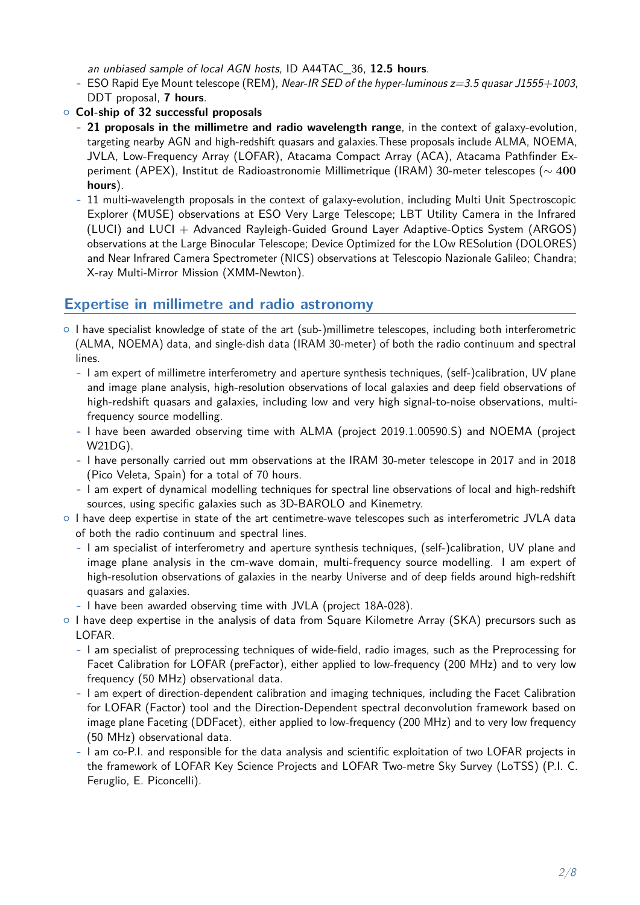an unbiased sample of local AGN hosts, ID A44TAC\_36, **12.5 hours**.

- **-** ESO Rapid Eye Mount telescope (REM), Near-IR SED of the hyper-luminous z=3.5 quasar J1555+1003, DDT proposal, **7 hours**.
- { **CoI-ship of 32 successful proposals**
	- **- 21 proposals in the millimetre and radio wavelength range**, in the context of galaxy-evolution, targeting nearby AGN and high-redshift quasars and galaxies.These proposals include ALMA, NOEMA, JVLA, Low-Frequency Array (LOFAR), Atacama Compact Array (ACA), Atacama Pathfinder Experiment (APEX), Institut de Radioastronomie Millimetrique (IRAM) 30-meter telescopes (∼ **400 hours**).
	- **-** 11 multi-wavelength proposals in the context of galaxy-evolution, including Multi Unit Spectroscopic Explorer (MUSE) observations at ESO Very Large Telescope; LBT Utility Camera in the Infrared (LUCI) and LUCI + Advanced Rayleigh-Guided Ground Layer Adaptive-Optics System (ARGOS) observations at the Large Binocular Telescope; Device Optimized for the LOw RESolution (DOLORES) and Near Infrared Camera Spectrometer (NICS) observations at Telescopio Nazionale Galileo; Chandra; X-ray Multi-Mirror Mission (XMM-Newton).

### **Expertise in millimetre and radio astronomy**

- $\circ$  I have specialist knowledge of state of the art (sub-)millimetre telescopes, including both interferometric (ALMA, NOEMA) data, and single-dish data (IRAM 30-meter) of both the radio continuum and spectral lines.
	- **-** I am expert of millimetre interferometry and aperture synthesis techniques, (self-)calibration, UV plane and image plane analysis, high-resolution observations of local galaxies and deep field observations of high-redshift quasars and galaxies, including low and very high signal-to-noise observations, multifrequency source modelling.
	- **-** I have been awarded observing time with ALMA (project 2019.1.00590.S) and NOEMA (project W21DG).
	- **-** I have personally carried out mm observations at the IRAM 30-meter telescope in 2017 and in 2018 (Pico Veleta, Spain) for a total of 70 hours.
	- **-** I am expert of dynamical modelling techniques for spectral line observations of local and high-redshift sources, using specific galaxies such as 3D-BAROLO and Kinemetry.
- $\circ$  I have deep expertise in state of the art centimetre-wave telescopes such as interferometric JVLA data of both the radio continuum and spectral lines.
	- **-** I am specialist of interferometry and aperture synthesis techniques, (self-)calibration, UV plane and image plane analysis in the cm-wave domain, multi-frequency source modelling. I am expert of high-resolution observations of galaxies in the nearby Universe and of deep fields around high-redshift quasars and galaxies.
	- **-** I have been awarded observing time with JVLA (project 18A-028).
- o I have deep expertise in the analysis of data from Square Kilometre Array (SKA) precursors such as LOFAR.
	- **-** I am specialist of preprocessing techniques of wide-field, radio images, such as the Preprocessing for Facet Calibration for LOFAR (preFactor), either applied to low-frequency (200 MHz) and to very low frequency (50 MHz) observational data.
	- **-** I am expert of direction-dependent calibration and imaging techniques, including the Facet Calibration for LOFAR (Factor) tool and the Direction-Dependent spectral deconvolution framework based on image plane Faceting (DDFacet), either applied to low-frequency (200 MHz) and to very low frequency (50 MHz) observational data.
	- **-** I am co-P.I. and responsible for the data analysis and scientific exploitation of two LOFAR projects in the framework of LOFAR Key Science Projects and LOFAR Two-metre Sky Survey (LoTSS) (P.I. C. Feruglio, E. Piconcelli).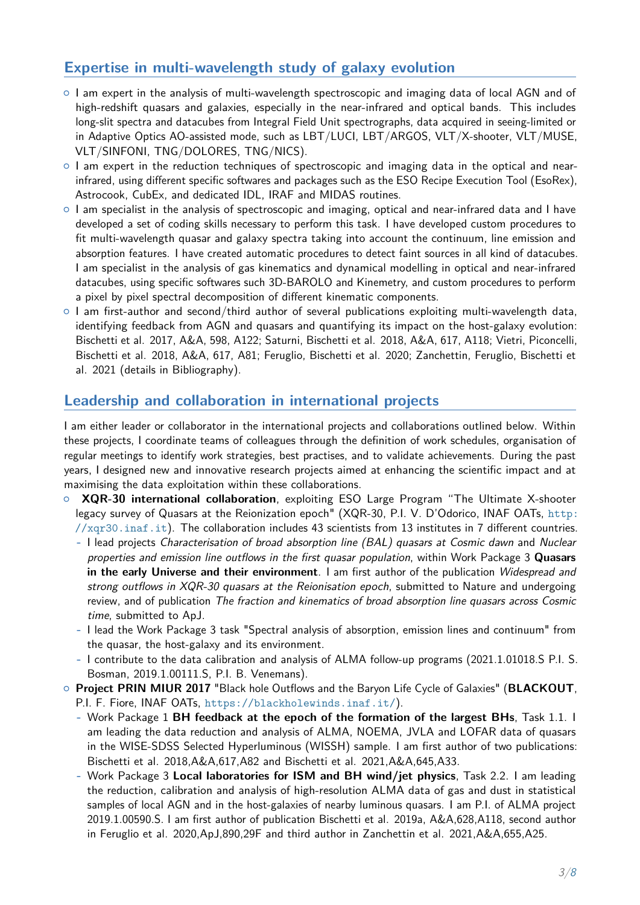## **Expertise in multi-wavelength study of galaxy evolution**

- $\circ$  I am expert in the analysis of multi-wavelength spectroscopic and imaging data of local AGN and of high-redshift quasars and galaxies, especially in the near-infrared and optical bands. This includes long-slit spectra and datacubes from Integral Field Unit spectrographs, data acquired in seeing-limited or in Adaptive Optics AO-assisted mode, such as LBT/LUCI, LBT/ARGOS, VLT/X-shooter, VLT/MUSE, VLT/SINFONI, TNG/DOLORES, TNG/NICS).
- $\circ$  I am expert in the reduction techniques of spectroscopic and imaging data in the optical and nearinfrared, using different specific softwares and packages such as the ESO Recipe Execution Tool (EsoRex), Astrocook, CubEx, and dedicated IDL, IRAF and MIDAS routines.
- $\circ$  I am specialist in the analysis of spectroscopic and imaging, optical and near-infrared data and I have developed a set of coding skills necessary to perform this task. I have developed custom procedures to fit multi-wavelength quasar and galaxy spectra taking into account the continuum, line emission and absorption features. I have created automatic procedures to detect faint sources in all kind of datacubes. I am specialist in the analysis of gas kinematics and dynamical modelling in optical and near-infrared datacubes, using specific softwares such 3D-BAROLO and Kinemetry, and custom procedures to perform a pixel by pixel spectral decomposition of different kinematic components.
- $\circ$  I am first-author and second/third author of several publications exploiting multi-wavelength data, identifying feedback from AGN and quasars and quantifying its impact on the host-galaxy evolution: Bischetti et al. 2017, A&A, 598, A122; Saturni, Bischetti et al. 2018, A&A, 617, A118; Vietri, Piconcelli, Bischetti et al. 2018, A&A, 617, A81; Feruglio, Bischetti et al. 2020; Zanchettin, Feruglio, Bischetti et al. 2021 (details in Bibliography).

#### **Leadership and collaboration in international projects**

I am either leader or collaborator in the international projects and collaborations outlined below. Within these projects, I coordinate teams of colleagues through the definition of work schedules, organisation of regular meetings to identify work strategies, best practises, and to validate achievements. During the past years, I designed new and innovative research projects aimed at enhancing the scientific impact and at maximising the data exploitation within these collaborations.

- **XQR-30 international collaboration**, exploiting ESO Large Program "The Ultimate X-shooter legacy survey of Quasars at the Reionization epoch" (XQR-30, P.I. V. D'Odorico, INAF OATs, [http:](http://xqr30.inaf.it) [//xqr30.inaf.it](http://xqr30.inaf.it)). The collaboration includes 43 scientists from 13 institutes in 7 different countries.
	- **-** I lead projects Characterisation of broad absorption line (BAL) quasars at Cosmic dawn and Nuclear properties and emission line outflows in the first quasar population, within Work Package 3 **Quasars in the early Universe and their environment**. I am first author of the publication Widespread and strong outflows in XQR-30 quasars at the Reionisation epoch, submitted to Nature and undergoing review, and of publication The fraction and kinematics of broad absorption line quasars across Cosmic time, submitted to ApJ.
	- **-** I lead the Work Package 3 task "Spectral analysis of absorption, emission lines and continuum" from the quasar, the host-galaxy and its environment.
	- **-** I contribute to the data calibration and analysis of ALMA follow-up programs (2021.1.01018.S P.I. S. Bosman, 2019.1.00111.S, P.I. B. Venemans).
- { **Project PRIN MIUR 2017** "Black hole Outflows and the Baryon Life Cycle of Galaxies" (**BLACKOUT**, P.I. F. Fiore, INAF OATs, <https://blackholewinds.inaf.it/>).
	- **-** Work Package 1 **BH feedback at the epoch of the formation of the largest BHs**, Task 1.1. I am leading the data reduction and analysis of ALMA, NOEMA, JVLA and LOFAR data of quasars in the WISE-SDSS Selected Hyperluminous (WISSH) sample. I am first author of two publications: Bischetti et al. 2018,A&A,617,A82 and Bischetti et al. 2021,A&A,645,A33.
	- **-** Work Package 3 **Local laboratories for ISM and BH wind/jet physics**, Task 2.2. I am leading the reduction, calibration and analysis of high-resolution ALMA data of gas and dust in statistical samples of local AGN and in the host-galaxies of nearby luminous quasars. I am P.I. of ALMA project 2019.1.00590.S. I am first author of publication Bischetti et al. 2019a, A&A,628,A118, second author in Feruglio et al. 2020,ApJ,890,29F and third author in Zanchettin et al. 2021,A&A,655,A25.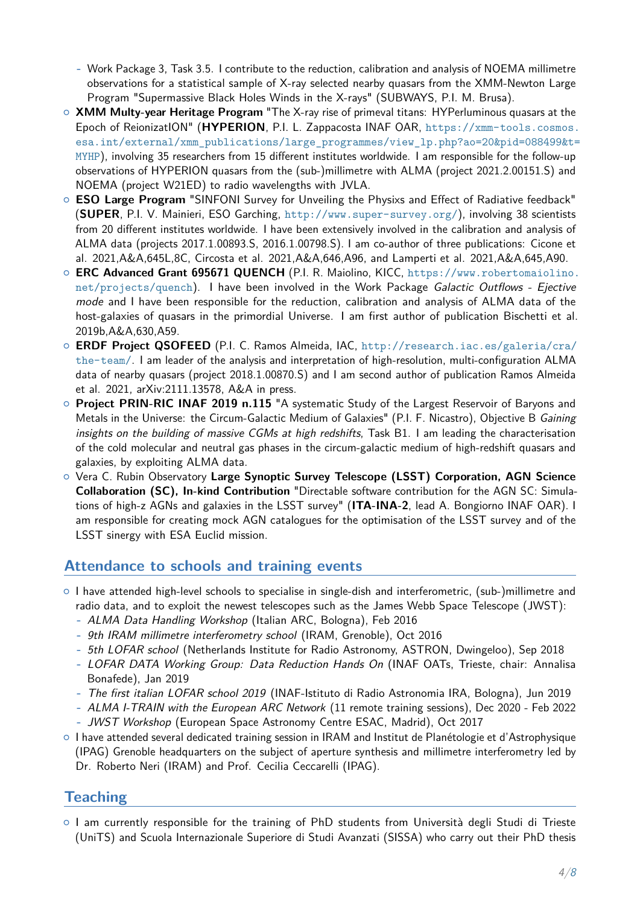**-** Work Package 3, Task 3.5. I contribute to the reduction, calibration and analysis of NOEMA millimetre observations for a statistical sample of X-ray selected nearby quasars from the XMM-Newton Large Program "Supermassive Black Holes Winds in the X-rays" (SUBWAYS, P.I. M. Brusa).

- { **XMM Multy-year Heritage Program** "The X-ray rise of primeval titans: HYPerluminous quasars at the Epoch of ReionizatION" (**HYPERION**, P.I. L. Zappacosta INAF OAR, [https://xmm-tools.cosmos.](https://xmm-tools.cosmos.esa.int/external/xmm_publications/large_programmes/view_lp.php?ao=20&pid=088499&t=MYHP) [esa.int/external/xmm\\_publications/large\\_programmes/view\\_lp.php?ao=20&pid=088499&t=](https://xmm-tools.cosmos.esa.int/external/xmm_publications/large_programmes/view_lp.php?ao=20&pid=088499&t=MYHP) [MYHP](https://xmm-tools.cosmos.esa.int/external/xmm_publications/large_programmes/view_lp.php?ao=20&pid=088499&t=MYHP)), involving 35 researchers from 15 different institutes worldwide. I am responsible for the follow-up observations of HYPERION quasars from the (sub-)millimetre with ALMA (project 2021.2.00151.S) and NOEMA (project W21ED) to radio wavelengths with JVLA.
- { **ESO Large Program** "SINFONI Survey for Unveiling the Physixs and Effect of Radiative feedback" (**SUPER**, P.I. V. Mainieri, ESO Garching, <http://www.super-survey.org/>), involving 38 scientists from 20 different institutes worldwide. I have been extensively involved in the calibration and analysis of ALMA data (projects 2017.1.00893.S, 2016.1.00798.S). I am co-author of three publications: Cicone et al. 2021,A&A,645L,8C, Circosta et al. 2021,A&A,646,A96, and Lamperti et al. 2021,A&A,645,A90.
- { **ERC Advanced Grant 695671 QUENCH** (P.I. R. Maiolino, KICC, [https://www.robertomaiolino.](https://www.robertomaiolino.net/projects/quench) [net/projects/quench](https://www.robertomaiolino.net/projects/quench)). I have been involved in the Work Package Galactic Outflows - Ejective mode and I have been responsible for the reduction, calibration and analysis of ALMA data of the host-galaxies of quasars in the primordial Universe. I am first author of publication Bischetti et al. 2019b,A&A,630,A59.
- { **ERDF Project QSOFEED** (P.I. C. Ramos Almeida, IAC, [http://research.iac.es/galeria/cra/](http://research.iac.es/galeria/cra/the-team/) [the-team/](http://research.iac.es/galeria/cra/the-team/). I am leader of the analysis and interpretation of high-resolution, multi-configuration ALMA data of nearby quasars (project 2018.1.00870.S) and I am second author of publication Ramos Almeida et al. 2021, arXiv:2111.13578, A&A in press.
- { **Project PRIN-RIC INAF 2019 n.115** "A systematic Study of the Largest Reservoir of Baryons and Metals in the Universe: the Circum-Galactic Medium of Galaxies" (P.I. F. Nicastro), Objective B Gaining insights on the building of massive CGMs at high redshifts, Task B1. I am leading the characterisation of the cold molecular and neutral gas phases in the circum-galactic medium of high-redshift quasars and galaxies, by exploiting ALMA data.
- { Vera C. Rubin Observatory **Large Synoptic Survey Telescope (LSST) Corporation, AGN Science Collaboration (SC), In-kind Contribution** "Directable software contribution for the AGN SC: Simulations of high-z AGNs and galaxies in the LSST survey" (**ITA-INA-2**, lead A. Bongiorno INAF OAR). I am responsible for creating mock AGN catalogues for the optimisation of the LSST survey and of the LSST sinergy with ESA Euclid mission.

#### **Attendance to schools and training events**

- $\circ$  I have attended high-level schools to specialise in single-dish and interferometric, (sub-)millimetre and radio data, and to exploit the newest telescopes such as the James Webb Space Telescope (JWST):
	- **-** ALMA Data Handling Workshop (Italian ARC, Bologna), Feb 2016
	- **-** 9th IRAM millimetre interferometry school (IRAM, Grenoble), Oct 2016
	- **-** 5th LOFAR school (Netherlands Institute for Radio Astronomy, ASTRON, Dwingeloo), Sep 2018
	- **-** LOFAR DATA Working Group: Data Reduction Hands On (INAF OATs, Trieste, chair: Annalisa Bonafede), Jan 2019
	- **-** The first italian LOFAR school 2019 (INAF-Istituto di Radio Astronomia IRA, Bologna), Jun 2019
	- **-** ALMA I-TRAIN with the European ARC Network (11 remote training sessions), Dec 2020 Feb 2022
	- **-** JWST Workshop (European Space Astronomy Centre ESAC, Madrid), Oct 2017
- { I have attended several dedicated training session in IRAM and Institut de Planétologie et d'Astrophysique (IPAG) Grenoble headquarters on the subject of aperture synthesis and millimetre interferometry led by Dr. Roberto Neri (IRAM) and Prof. Cecilia Ceccarelli (IPAG).

#### **Teaching**

 $\circ$  I am currently responsible for the training of PhD students from Università degli Studi di Trieste (UniTS) and Scuola Internazionale Superiore di Studi Avanzati (SISSA) who carry out their PhD thesis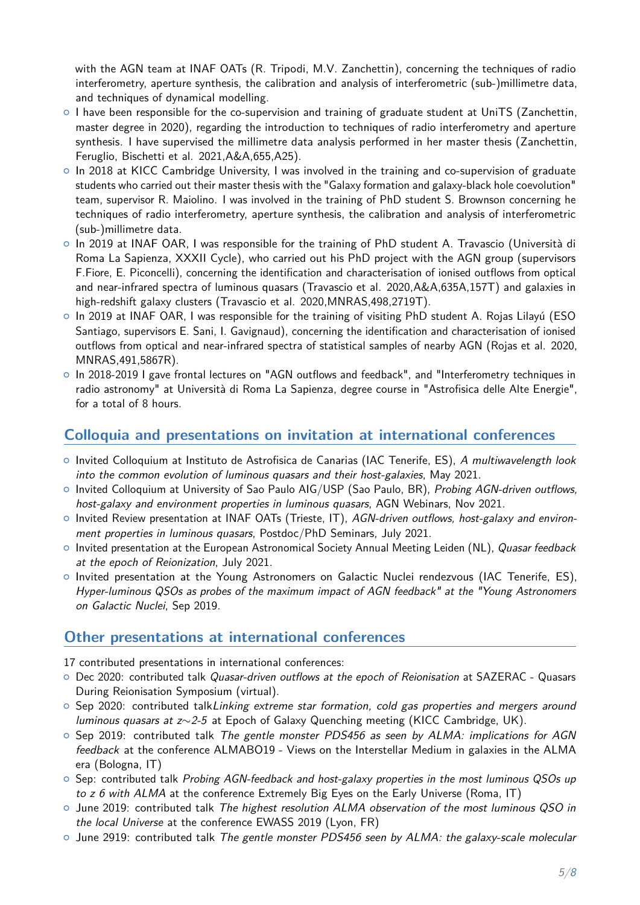with the AGN team at INAF OATs (R. Tripodi, M.V. Zanchettin), concerning the techniques of radio interferometry, aperture synthesis, the calibration and analysis of interferometric (sub-)millimetre data, and techniques of dynamical modelling.

- $\circ$  I have been responsible for the co-supervision and training of graduate student at UniTS (Zanchettin, master degree in 2020), regarding the introduction to techniques of radio interferometry and aperture synthesis. I have supervised the millimetre data analysis performed in her master thesis (Zanchettin, Feruglio, Bischetti et al. 2021,A&A,655,A25).
- $\circ$  In 2018 at KICC Cambridge University, I was involved in the training and co-supervision of graduate students who carried out their master thesis with the "Galaxy formation and galaxy-black hole coevolution" team, supervisor R. Maiolino. I was involved in the training of PhD student S. Brownson concerning he techniques of radio interferometry, aperture synthesis, the calibration and analysis of interferometric (sub-)millimetre data.
- $\circ$  In 2019 at INAF OAR, I was responsible for the training of PhD student A. Travascio (Università di Roma La Sapienza, XXXII Cycle), who carried out his PhD project with the AGN group (supervisors F.Fiore, E. Piconcelli), concerning the identification and characterisation of ionised outflows from optical and near-infrared spectra of luminous quasars (Travascio et al. 2020,A&A,635A,157T) and galaxies in high-redshift galaxy clusters (Travascio et al. 2020,MNRAS,498,2719T).
- $\circ$  In 2019 at INAF OAR, I was responsible for the training of visiting PhD student A. Rojas Lilayú (ESO Santiago, supervisors E. Sani, I. Gavignaud), concerning the identification and characterisation of ionised outflows from optical and near-infrared spectra of statistical samples of nearby AGN (Rojas et al. 2020, MNRAS,491,5867R).
- In 2018-2019 I gave frontal lectures on "AGN outflows and feedback", and "Interferometry techniques in radio astronomy" at Università di Roma La Sapienza, degree course in "Astrofisica delle Alte Energie", for a total of 8 hours.

### **Colloquia and presentations on invitation at international conferences**

- o Invited Colloquium at Instituto de Astrofisica de Canarias (IAC Tenerife, ES), A multiwavelength look into the common evolution of luminous quasars and their host-galaxies, May 2021.
- o Invited Colloquium at University of Sao Paulo AIG/USP (Sao Paulo, BR), Probing AGN-driven outflows, host-galaxy and environment properties in luminous quasars, AGN Webinars, Nov 2021.
- $\circ$  Invited Review presentation at INAF OATs (Trieste, IT), AGN-driven outflows, host-galaxy and environment properties in luminous quasars, Postdoc/PhD Seminars, July 2021.
- o Invited presentation at the European Astronomical Society Annual Meeting Leiden (NL), Quasar feedback at the epoch of Reionization, July 2021.
- $\circ$  Invited presentation at the Young Astronomers on Galactic Nuclei rendezvous (IAC Tenerife, ES), Hyper-luminous QSOs as probes of the maximum impact of AGN feedback" at the "Young Astronomers on Galactic Nuclei, Sep 2019.

#### **Other presentations at international conferences**

17 contributed presentations in international conferences:

- o Dec 2020: contributed talk Quasar-driven outflows at the epoch of Reionisation at SAZERAC Quasars During Reionisation Symposium (virtual).
- $\circ$  Sep 2020: contributed talkLinking extreme star formation, cold gas properties and mergers around luminous quasars at z∼2-5 at Epoch of Galaxy Quenching meeting (KICC Cambridge, UK).
- $\circ$  Sep 2019: contributed talk The gentle monster PDS456 as seen by ALMA: implications for AGN feedback at the conference ALMABO19 - Views on the Interstellar Medium in galaxies in the ALMA era (Bologna, IT)
- $\circ$  Sep: contributed talk Probing AGN-feedback and host-galaxy properties in the most luminous QSOs up to z 6 with ALMA at the conference Extremely Big Eyes on the Early Universe (Roma, IT)
- $\circ$  June 2019: contributed talk The highest resolution ALMA observation of the most luminous QSO in the local Universe at the conference EWASS 2019 (Lyon, FR)
- $\circ$  June 2919: contributed talk The gentle monster PDS456 seen by ALMA: the galaxy-scale molecular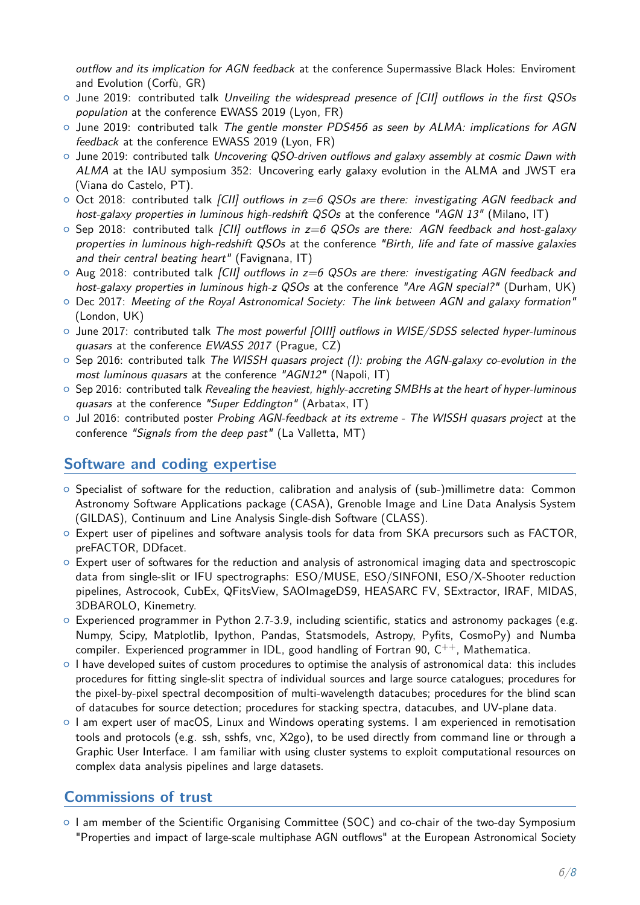outflow and its implication for AGN feedback at the conference Supermassive Black Holes: Enviroment and Evolution (Corfù, GR)

- $\circ$  June 2019: contributed talk Unveiling the widespread presence of [CII] outflows in the first QSOs population at the conference EWASS 2019 (Lyon, FR)
- $\circ$  June 2019: contributed talk The gentle monster PDS456 as seen by ALMA: implications for AGN feedback at the conference EWASS 2019 (Lyon, FR)
- $\circ$  June 2019: contributed talk Uncovering QSO-driven outflows and galaxy assembly at cosmic Dawn with ALMA at the IAU symposium 352: Uncovering early galaxy evolution in the ALMA and JWST era (Viana do Castelo, PT).
- $\circ$  Oct 2018: contributed talk [CII] outflows in  $z=6$  QSOs are there: investigating AGN feedback and host-galaxy properties in luminous high-redshift QSOs at the conference "AGN 13" (Milano, IT)
- $\circ$  Sep 2018: contributed talk [CII] outflows in  $z=6$  QSOs are there: AGN feedback and host-galaxy properties in luminous high-redshift QSOs at the conference "Birth, life and fate of massive galaxies and their central beating heart" (Favignana,  $|T\rangle$
- $\circ$  Aug 2018: contributed talk [CII] outflows in  $z=6$  QSOs are there: investigating AGN feedback and host-galaxy properties in luminous high-z QSOs at the conference "Are AGN special?" (Durham, UK)
- $\circ$  Dec 2017: Meeting of the Royal Astronomical Society: The link between AGN and galaxy formation" (London, UK)
- $\circ$  June 2017: contributed talk The most powerful [OIII] outflows in WISE/SDSS selected hyper-luminous quasars at the conference EWASS 2017 (Prague, CZ)
- $\circ$  Sep 2016: contributed talk The WISSH quasars project (I): probing the AGN-galaxy co-evolution in the most luminous quasars at the conference "AGN12" (Napoli, IT)
- $\circ$  Sep 2016: contributed talk Revealing the heaviest, highly-accreting SMBHs at the heart of hyper-luminous quasars at the conference "Super Eddington" (Arbatax, IT)
- $\circ$  Jul 2016: contributed poster Probing AGN-feedback at its extreme The WISSH quasars project at the conference "Signals from the deep past" (La Valletta, MT)

### **Software and coding expertise**

- $\circ$  Specialist of software for the reduction, calibration and analysis of (sub-)millimetre data: Common Astronomy Software Applications package (CASA), Grenoble Image and Line Data Analysis System (GILDAS), Continuum and Line Analysis Single-dish Software (CLASS).
- $\circ$  Expert user of pipelines and software analysis tools for data from SKA precursors such as FACTOR, preFACTOR, DDfacet.
- $\circ$  Expert user of softwares for the reduction and analysis of astronomical imaging data and spectroscopic data from single-slit or IFU spectrographs: ESO/MUSE, ESO/SINFONI, ESO/X-Shooter reduction pipelines, Astrocook, CubEx, QFitsView, SAOImageDS9, HEASARC FV, SExtractor, IRAF, MIDAS, 3DBAROLO, Kinemetry.
- $\circ$  Experienced programmer in Python 2.7-3.9, including scientific, statics and astronomy packages (e.g. Numpy, Scipy, Matplotlib, Ipython, Pandas, Statsmodels, Astropy, Pyfits, CosmoPy) and Numba compiler. Experienced programmer in IDL, good handling of Fortran 90,  $C^{++}$ , Mathematica.
- $\circ$  I have developed suites of custom procedures to optimise the analysis of astronomical data: this includes procedures for fitting single-slit spectra of individual sources and large source catalogues; procedures for the pixel-by-pixel spectral decomposition of multi-wavelength datacubes; procedures for the blind scan of datacubes for source detection; procedures for stacking spectra, datacubes, and UV-plane data.
- o I am expert user of macOS, Linux and Windows operating systems. I am experienced in remotisation tools and protocols (e.g. ssh, sshfs, vnc, X2go), to be used directly from command line or through a Graphic User Interface. I am familiar with using cluster systems to exploit computational resources on complex data analysis pipelines and large datasets.

#### **Commissions of trust**

 $\circ$  I am member of the Scientific Organising Committee (SOC) and co-chair of the two-day Symposium "Properties and impact of large-scale multiphase AGN outflows" at the European Astronomical Society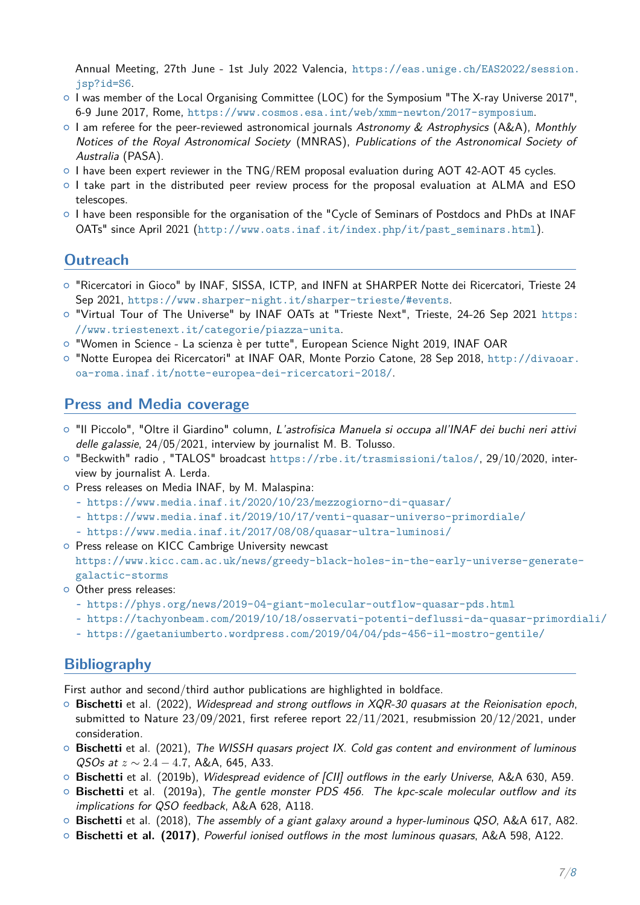Annual Meeting, 27th June - 1st July 2022 Valencia, [https://eas.unige.ch/EAS2022/session.](https://eas.unige.ch/EAS2022/session.jsp?id=S6) [jsp?id=S6](https://eas.unige.ch/EAS2022/session.jsp?id=S6).

- $\circ$  I was member of the Local Organising Committee (LOC) for the Symposium "The X-ray Universe 2017", 6-9 June 2017, Rome, <https://www.cosmos.esa.int/web/xmm-newton/2017-symposium>.
- o I am referee for the peer-reviewed astronomical journals Astronomy & Astrophysics (A&A), Monthly Notices of the Royal Astronomical Society (MNRAS), Publications of the Astronomical Society of Australia (PASA).
- $\circ$  I have been expert reviewer in the TNG/REM proposal evaluation during AOT 42-AOT 45 cycles.
- $\circ$  I take part in the distributed peer review process for the proposal evaluation at ALMA and ESO telescopes.
- { I have been responsible for the organisation of the "Cycle of Seminars of Postdocs and PhDs at INAF OATs" since April 2021 ([http://www.oats.inaf.it/index.php/it/past\\_seminars.html](http://www.oats.inaf.it/index.php/it/past_seminars.html)).

## **Outreach**

- { "Ricercatori in Gioco" by INAF, SISSA, ICTP, and INFN at SHARPER Notte dei Ricercatori, Trieste 24 Sep 2021, <https://www.sharper-night.it/sharper-trieste/#events>.
- o "Virtual Tour of The Universe" by INAF OATs at "Trieste Next", Trieste, 24-26 Sep 2021 [https:](https://www.triestenext.it/categorie/piazza-unita) [//www.triestenext.it/categorie/piazza-unita](https://www.triestenext.it/categorie/piazza-unita).
- o "Women in Science La scienza è per tutte", European Science Night 2019, INAF OAR
- o "Notte Europea dei Ricercatori" at INAF OAR, Monte Porzio Catone, 28 Sep 2018, [http://divaoar.](http://divaoar.oa-roma.inaf.it/notte-europea-dei-ricercatori-2018/) [oa-roma.inaf.it/notte-europea-dei-ricercatori-2018/](http://divaoar.oa-roma.inaf.it/notte-europea-dei-ricercatori-2018/).

#### **Press and Media coverage**

- o "Il Piccolo", "Oltre il Giardino" column, L'astrofisica Manuela si occupa all'INAF dei buchi neri attivi delle galassie, 24/05/2021, interview by journalist M. B. Tolusso.
- o "Beckwith" radio, "TALOS" broadcast <https://rbe.it/trasmissioni/talos/>, 29/10/2020, interview by journalist A. Lerda.
- o Press releases on Media INAF, by M. Malaspina:
	- **-** <https://www.media.inaf.it/2020/10/23/mezzogiorno-di-quasar/>
	- **-** <https://www.media.inaf.it/2019/10/17/venti-quasar-universo-primordiale/>
	- **-** <https://www.media.inaf.it/2017/08/08/quasar-ultra-luminosi/>
- o Press release on KICC Cambrige University newcast
- [https://www.kicc.cam.ac.uk/news/greedy-black-holes-in-the-early-universe-generate](https://www.kicc.cam.ac.uk/news/greedy-black-holes-in-the-early-universe-generate-)<galactic-storms>
- o Other press releases:
	- **-** <https://phys.org/news/2019-04-giant-molecular-outflow-quasar-pds.html>
	- **-** <https://tachyonbeam.com/2019/10/18/osservati-potenti-deflussi-da-quasar-primordiali/>
	- **-** <https://gaetaniumberto.wordpress.com/2019/04/04/pds-456-il-mostro-gentile/>

#### <span id="page-6-0"></span>**Bibliography**

First author and second/third author publications are highlighted in boldface.

- { **Bischetti** et al. (2022), Widespread and strong outflows in XQR-30 quasars at the Reionisation epoch, submitted to Nature 23/09/2021, first referee report 22/11/2021, resubmission 20/12/2021, under consideration.
- { **Bischetti** et al. (2021), The WISSH quasars project IX. Cold gas content and environment of luminous QSOs at *z* ∼ 2*.*4 − 4*.*7, A&A, 645, A33.
- { **Bischetti** et al. (2019b), Widespread evidence of [CII] outflows in the early Universe, A&A 630, A59.
- { **Bischetti** et al. (2019a), The gentle monster PDS 456. The kpc-scale molecular outflow and its implications for QSO feedback, A&A 628, A118.
- { **Bischetti** et al. (2018), The assembly of a giant galaxy around a hyper-luminous QSO, A&A 617, A82.
- { **Bischetti et al. (2017)**, Powerful ionised outflows in the most luminous quasars, A&A 598, A122.